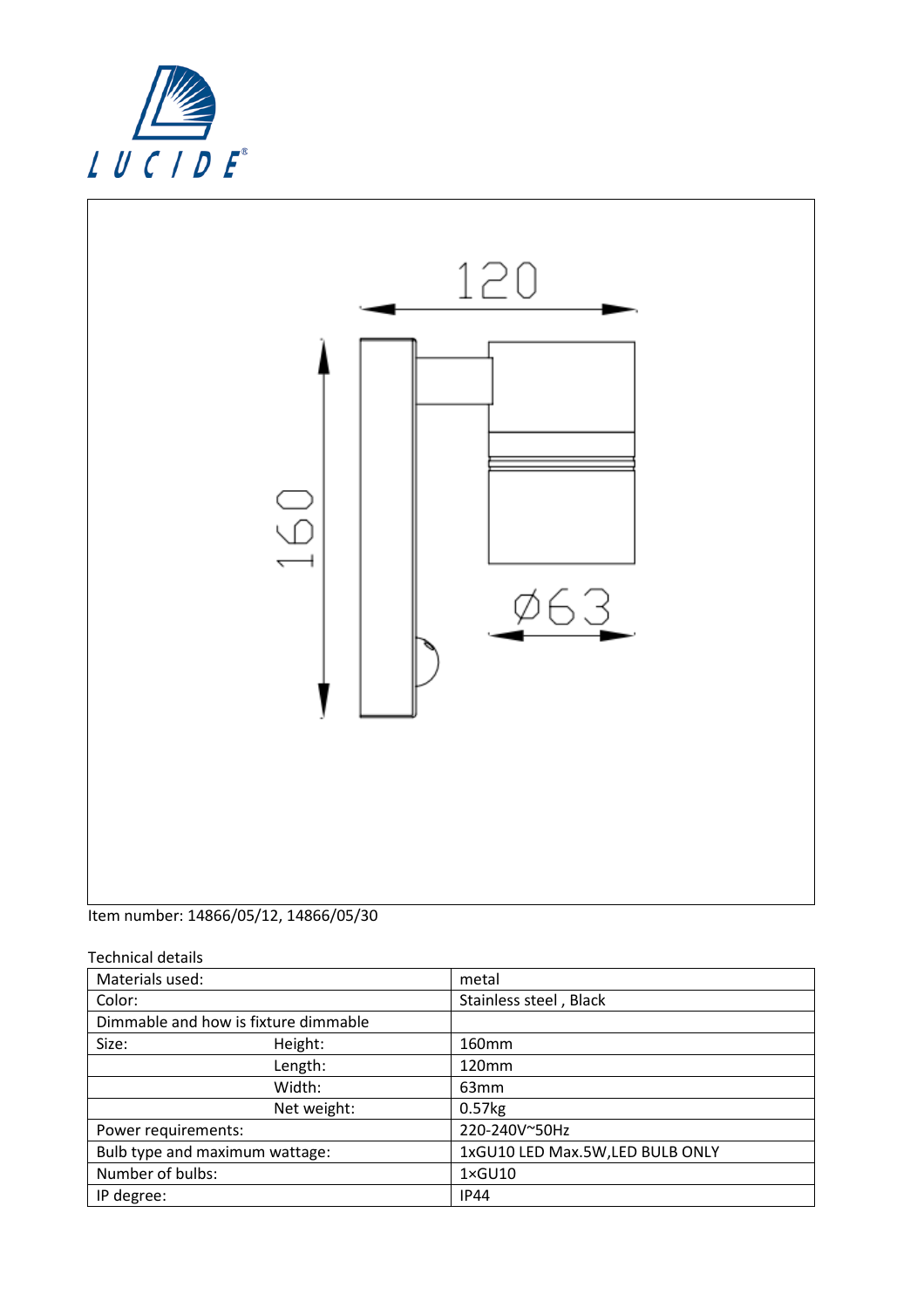



Item number: 14866/05/12, 14866/05/30

Technical details

| Materials used:                      |             | metal                            |
|--------------------------------------|-------------|----------------------------------|
| Color:                               |             | Stainless steel, Black           |
| Dimmable and how is fixture dimmable |             |                                  |
| Size:                                | Height:     | 160mm                            |
|                                      | Length:     | 120mm                            |
|                                      | Width:      | 63 <sub>mm</sub>                 |
|                                      | Net weight: | $0.57$ <sub>kg</sub>             |
| Power requirements:                  |             | 220-240V~50Hz                    |
| Bulb type and maximum wattage:       |             | 1xGU10 LED Max.5W, LED BULB ONLY |
| Number of bulbs:                     |             | $1 \times$ GU10                  |
| IP degree:                           |             | <b>IP44</b>                      |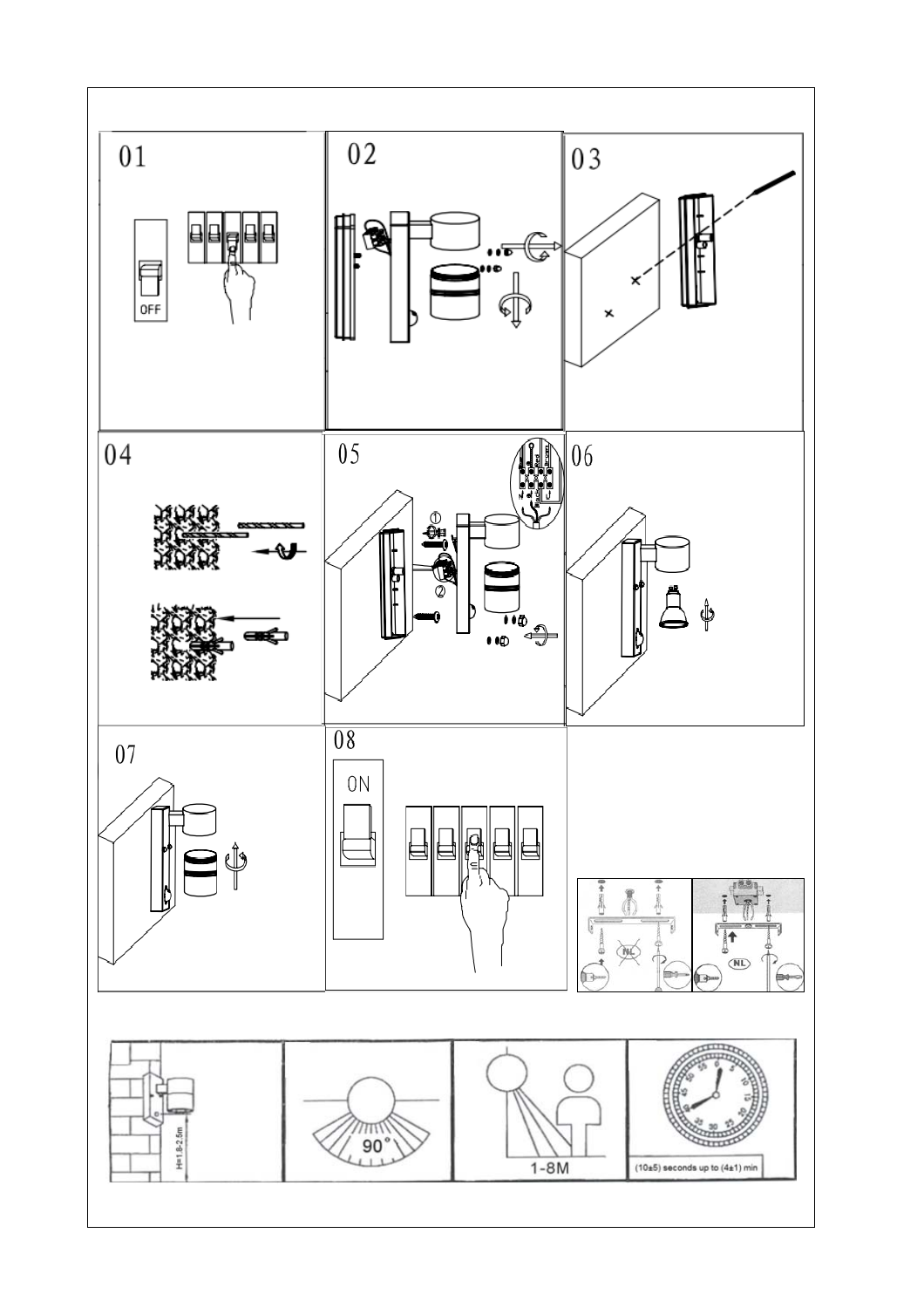